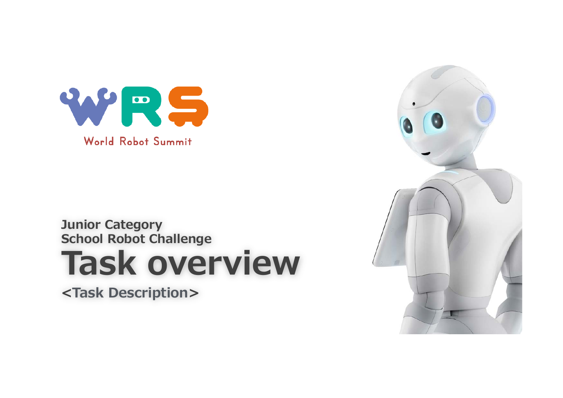

#### **Junior Category School Robot Challenge**

# **Task overview**

**<Task Description>**

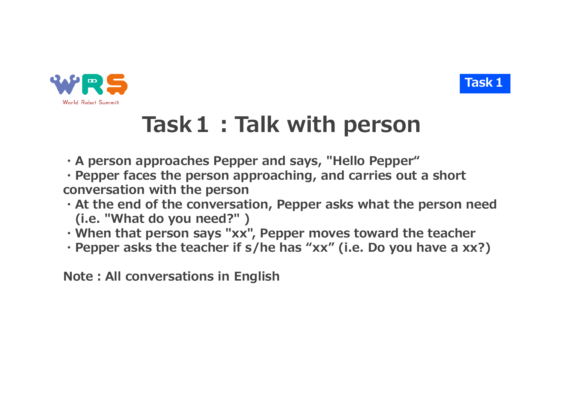



## **Task1︓Talk with person**

- **・A person approaches Pepper and says, "Hello Pepper"**
- **・Pepper faces the person approaching, and carries out a short conversation with the person**
- **・At the end of the conversation, Pepper asks what the person need (i.e. "What do you need?" )**
- **・When that person says "xx", Pepper moves toward the teacher**
- **・Pepper asks the teacher if s/he has "xx" (i.e. Do you have a xx?)**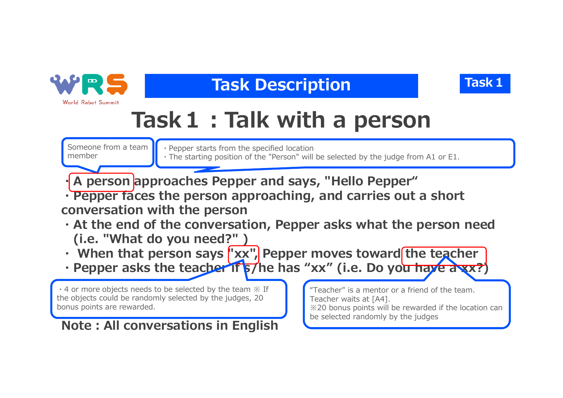

### **Task Description Task1**



# **Task1︓Talk with a person**

Someone from a team member

- ・Pepper starts from the specified location
- ・The starting position of the "Person" will be selected by the judge from A1 or E1.

A person approaches Pepper and says, "Hello Pepper"

**・Pepper faces the person approaching, and carries out a short conversation with the person**

- **・At the end of the conversation, Pepper asks what the person need (i.e. "What do you need?" )**
- When that person says "xx", Pepper moves toward the teacher
- **Pepper asks the teacher if s/he has "xx" (i.e. Do you have a xx?**

 $\cdot$  4 or more objects needs to be selected by the team  $\mathbb X$  If the objects could be randomly selected by the judges, 20 bonus points are rewarded.

**Note: All conversations in English** 

"Teacher" is a mentor or a friend of the team. Teacher waits at [A4]. ※20 bonus points will be rewarded if the location can be selected randomly by the judges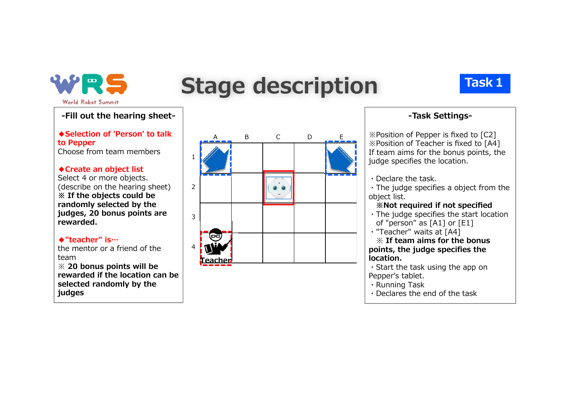

## **Stage description Task1**

#### **-Fill out the hearing sheet-**

**◆Selection of 'Person' to talk to Pepper** Choose from team members

#### **◆Create an object list**

Select 4 or more objects. (describe on the hearing sheet) **※ If the objects could be randomly selected by the judges, 20 bonus points are rewarded.**

#### **◆"teacher" is…**

the mentor or a friend of the team※ **20 bonus points will be rewarded if the location can be selected randomly by the judges**



#### **-Task Settings-**

※Position of Pepper is fixed to [C2] ※Position of Teacher is fixed to [A4] If team aims for the bonus points, the judge specifies the location.

・Declare the task.

・The judge specifies a object from the object list.

#### **※Not required if not specified**

・The judge specifies the start location of "person" as [A1] or [E1]

・"Teacher" waits at [A4]

※ **If team aims for the bonus points, the judge specifies the location.**

- ・Start the task using the app on Pepper's tablet.
- ・Running Task
- ・Declares the end of the task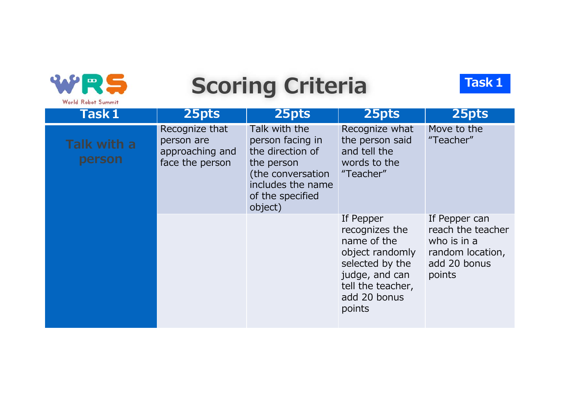| $\mathbf{m}$<br>World Robot Summit | <b>Scoring Criteria</b>                                            | <b>Task1</b>                                                                                                                                 |                                                                                                                                                   |                                                                                                 |
|------------------------------------|--------------------------------------------------------------------|----------------------------------------------------------------------------------------------------------------------------------------------|---------------------------------------------------------------------------------------------------------------------------------------------------|-------------------------------------------------------------------------------------------------|
| Task 1                             | 25pts                                                              | 25pts                                                                                                                                        | 25pts                                                                                                                                             | 25pts                                                                                           |
| Talk with a<br>person              | Recognize that<br>person are<br>approaching and<br>face the person | Talk with the<br>person facing in<br>the direction of<br>the person<br>(the conversation<br>includes the name<br>of the specified<br>object) | Recognize what<br>the person said<br>and tell the<br>words to the<br>"Teacher"                                                                    | Move to the<br>"Teacher"                                                                        |
|                                    |                                                                    |                                                                                                                                              | If Pepper<br>recognizes the<br>name of the<br>object randomly<br>selected by the<br>judge, and can<br>tell the teacher,<br>add 20 bonus<br>points | If Pepper can<br>reach the teacher<br>who is in a<br>random location,<br>add 20 bonus<br>points |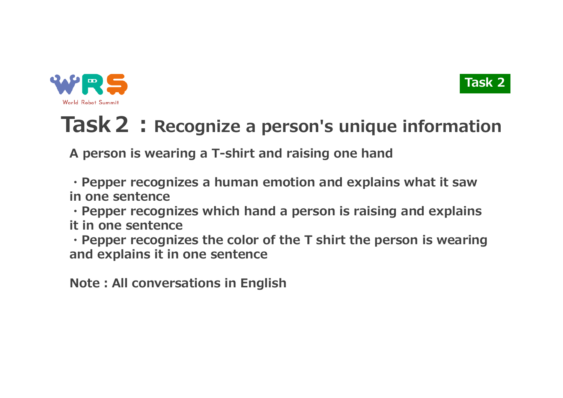

### **Task 2 : Recognize a person's unique information**

**Task 2**

**A person is wearing a T-shirt and raising one hand**

**・Pepper recognizes a human emotion and explains what it saw in one sentence**

**・Pepper recognizes which hand a person is raising and explains it in one sentence**

**・Pepper recognizes the color of the T shirt the person is wearing and explains it in one sentence**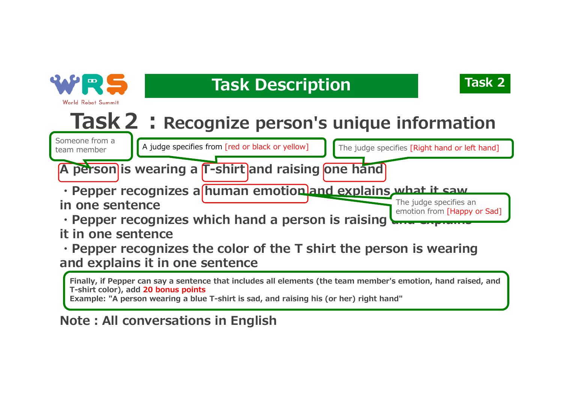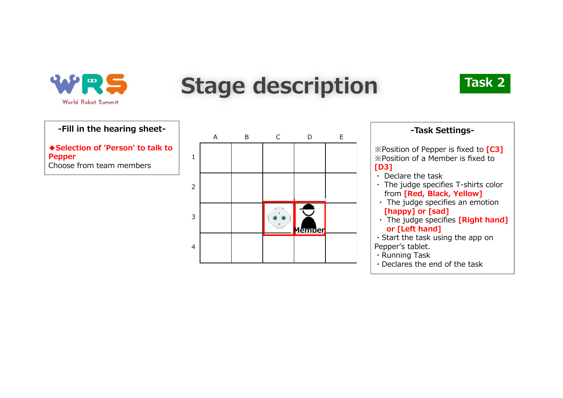

# **Stage description**



#### **-Fill in the hearing sheet-**

**◆Selection of 'Person' to talk to Pepper** Choose from team members

|                | A | В | $\mathsf{C}$ | D                                  | E |
|----------------|---|---|--------------|------------------------------------|---|
| $\mathbf 1$    |   |   |              |                                    |   |
| $\overline{2}$ |   |   |              |                                    |   |
| $\mathbf{3}$   |   |   |              | $\overline{\phantom{0}}$<br>Member |   |
| $\overline{4}$ |   |   |              |                                    |   |

| -Task Settings-                                                                                               |
|---------------------------------------------------------------------------------------------------------------|
| $\mathbb X$ Position of Pepper is fixed to $\lceil$ C3 $\rceil$<br>X Position of a Member is fixed to<br>[D3] |
| • Declare the task                                                                                            |
| · The judge specifies T-shirts color<br>from [Red, Black, Yellow]                                             |
| $\cdot$ The judge specifies an emotion                                                                        |
| [happy] or [sad]                                                                                              |
| $\cdot$ The judge specifies <b>[Right hand]</b>                                                               |
| or [Left hand]                                                                                                |
| $\cdot$ Start the task using the app on                                                                       |
| Pepper's tablet.                                                                                              |
| · Running Task                                                                                                |
| · Declares the end of the task                                                                                |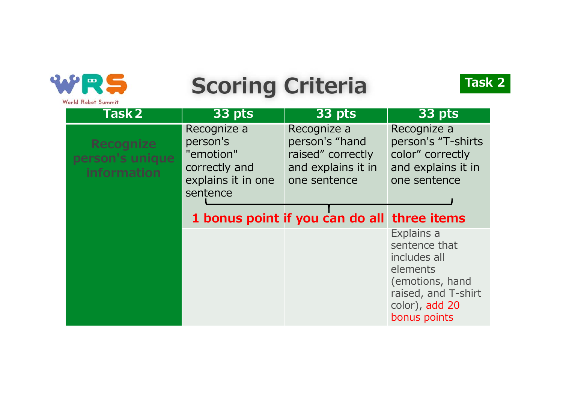

# **Scoring Criteria**



| <b>Task 2</b>                                             | 33 pts                                                                                  | 33 pts                                                                                   | 33 pts                                                                                                                              |
|-----------------------------------------------------------|-----------------------------------------------------------------------------------------|------------------------------------------------------------------------------------------|-------------------------------------------------------------------------------------------------------------------------------------|
| <b>Recognize</b><br>person's unique<br><b>information</b> | Recognize a<br>person's<br>"emotion"<br>correctly and<br>explains it in one<br>sentence | Recognize a<br>person's "hand<br>raised" correctly<br>and explains it in<br>one sentence | Recognize a<br>person's "T-shirts<br>color" correctly<br>and explains it in<br>one sentence                                         |
|                                                           |                                                                                         | 1 bonus point if you can do all three items                                              |                                                                                                                                     |
|                                                           |                                                                                         |                                                                                          | Explains a<br>sentence that<br>includes all<br>elements<br>(emotions, hand<br>raised, and T-shirt<br>color), add 20<br>bonus points |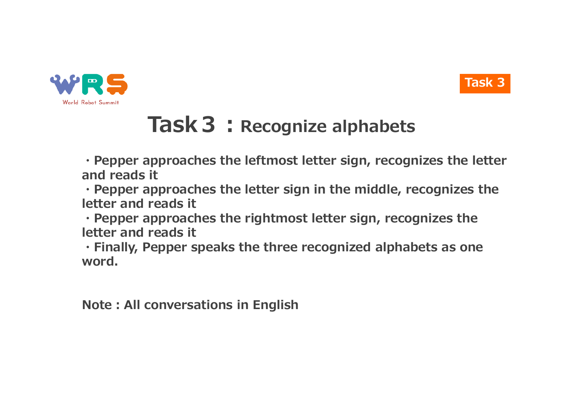



### **Task 3: Recognize alphabets**

**・Pepper approaches the leftmost letter sign, recognizes the letter and reads it**

**・Pepper approaches the letter sign in the middle, recognizes the letter and reads it**

**・Pepper approaches the rightmost letter sign, recognizes the letter and reads it**

**・Finally, Pepper speaks the three recognized alphabets as one word.**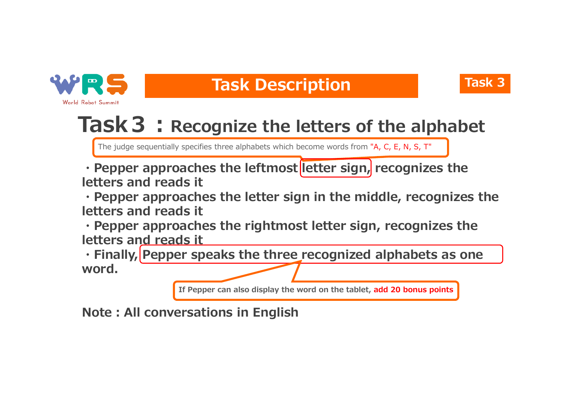

#### **Task Description Task 3**



### **Task 3: Recognize the letters of the alphabet**

The judge sequentially specifies three alphabets which become words from "A, C, E, N, S, T"

**• Pepper approaches the leftmost letter sign, recognizes the letters and reads it**

**・Pepper approaches the letter sign in the middle, recognizes the letters and reads it**

**・Pepper approaches the rightmost letter sign, recognizes the letters and reads it**

**・Finally, Pepper speaks the three recognized alphabets as one word.**

**If Pepper can also display the word on the tablet, add 20 bonus points**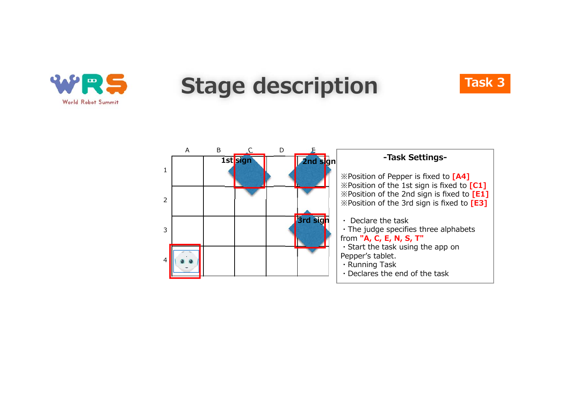

### **Stage description**



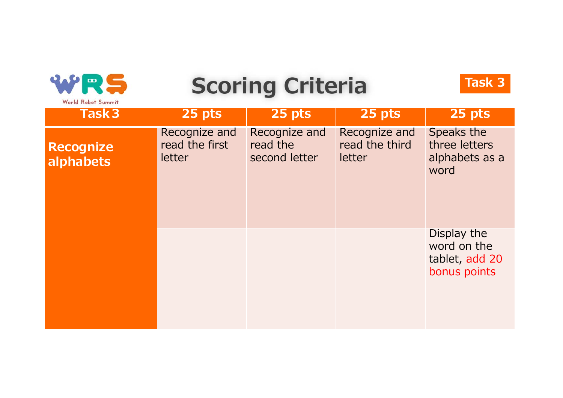

# **Scoring Criteria**



| Task <sub>3</sub>             | 25 pts                                    | 25 pts                                     | 25 pts                                    | 25 pts                                                       |
|-------------------------------|-------------------------------------------|--------------------------------------------|-------------------------------------------|--------------------------------------------------------------|
| <b>Recognize</b><br>alphabets | Recognize and<br>read the first<br>letter | Recognize and<br>read the<br>second letter | Recognize and<br>read the third<br>letter | Speaks the<br>three letters<br>alphabets as a<br>word        |
|                               |                                           |                                            |                                           | Display the<br>word on the<br>tablet, add 20<br>bonus points |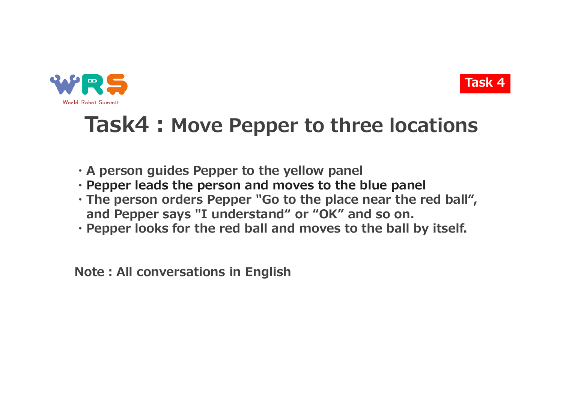



### **Task4: Move Pepper to three locations**

- **・A person guides Pepper to the yellow panel**
- **・Pepper leads the person and moves to the blue panel**
- **・The person orders Pepper "Go to the place near the red ball", and Pepper says "I understand" or "OK" and so on.**
- **・Pepper looks for the red ball and moves to the ball by itself.**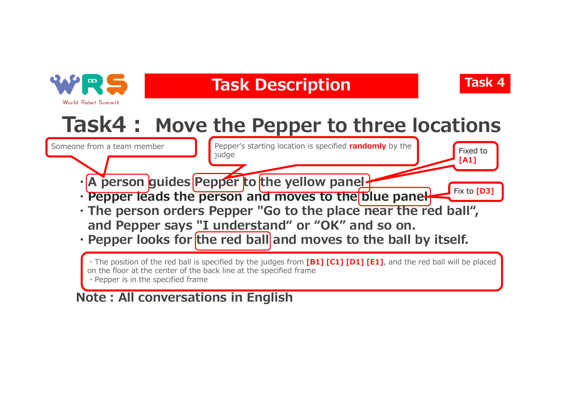

### **Task Description Task 4**



Fixed to **[A1]**

### **Task4︓ Move the Pepper to three locations**

Someone from a team member

Pepper's starting location is specified **randomly** by the judge

- · A person guides Pepper to the yellow panel-
- **・Pepper leads the person and moves to the blue panel**  Fix to **[D3]**
- **・The person orders Pepper "Go to the place near the red ball", and Pepper says "I understand" or "OK" and so on.**
- Pepper looks for the red ball and moves to the ball by itself.

・The position of the red ball is specified by the judges from **[B1] [C1] [D1] [E1]**, and the red ball will be placed on the floor at the center of the back line at the specified frame ・Pepper is in the specified frame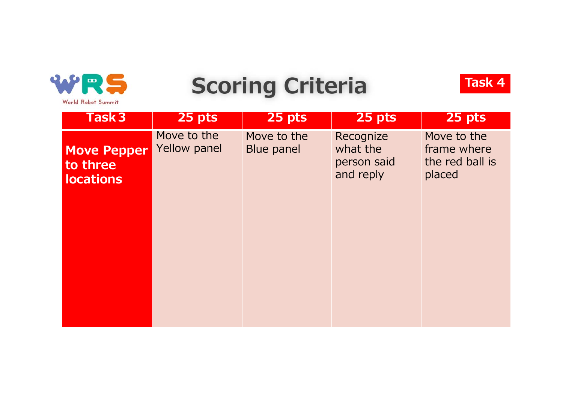

## **Scoring Criteria**



| Task <sub>3</sub>                                  | 25 pts                      | 25 pts                    | 25 pts                                            | 25 pts                                                  |
|----------------------------------------------------|-----------------------------|---------------------------|---------------------------------------------------|---------------------------------------------------------|
| <b>Move Pepper</b><br>to three<br><b>locations</b> | Move to the<br>Yellow panel | Move to the<br>Blue panel | Recognize<br>what the<br>person said<br>and reply | Move to the<br>frame where<br>the red ball is<br>placed |
|                                                    |                             |                           |                                                   |                                                         |